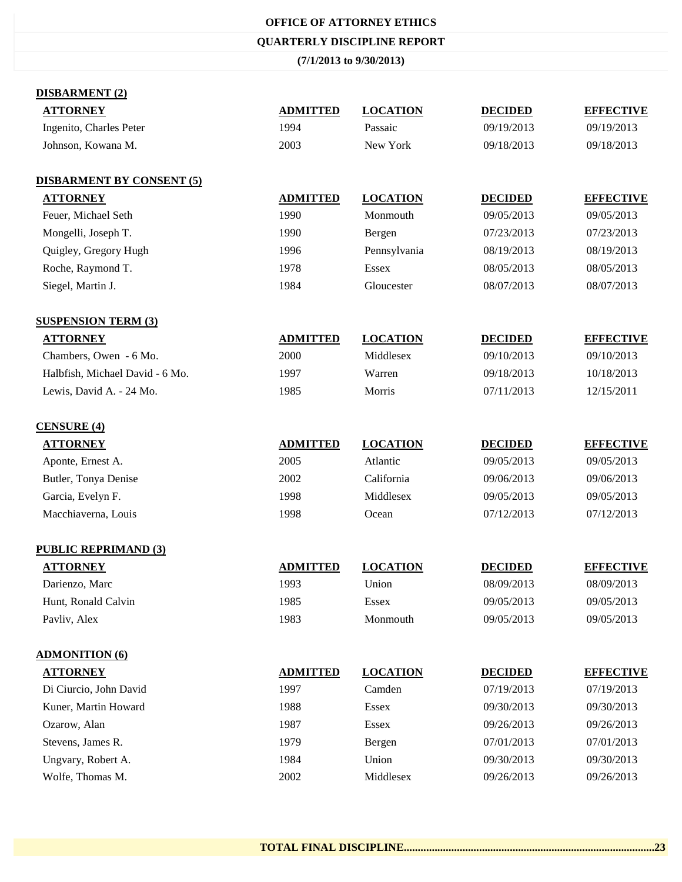### **OFFICE OF ATTORNEY ETHICS**

### **QUARTERLY DISCIPLINE REPORT**

### **(7/1/2013 to 9/30/2013)**

## **DISBARMENT (2)**

| рцэрдилици (2)                   |                 |                 |                |                  |
|----------------------------------|-----------------|-----------------|----------------|------------------|
| <b>ATTORNEY</b>                  | <b>ADMITTED</b> | <b>LOCATION</b> | <b>DECIDED</b> | <b>EFFECTIVE</b> |
| Ingenito, Charles Peter          | 1994            | Passaic         | 09/19/2013     | 09/19/2013       |
| Johnson, Kowana M.               | 2003            | New York        | 09/18/2013     | 09/18/2013       |
| <b>DISBARMENT BY CONSENT (5)</b> |                 |                 |                |                  |
| <b>ATTORNEY</b>                  | <b>ADMITTED</b> | <b>LOCATION</b> | <b>DECIDED</b> | <b>EFFECTIVE</b> |
| Feuer, Michael Seth              | 1990            | Monmouth        | 09/05/2013     | 09/05/2013       |
| Mongelli, Joseph T.              | 1990            | Bergen          | 07/23/2013     | 07/23/2013       |
| Quigley, Gregory Hugh            | 1996            | Pennsylvania    | 08/19/2013     | 08/19/2013       |
| Roche, Raymond T.                | 1978            | <b>Essex</b>    | 08/05/2013     | 08/05/2013       |
| Siegel, Martin J.                | 1984            | Gloucester      | 08/07/2013     | 08/07/2013       |
| <b>SUSPENSION TERM (3)</b>       |                 |                 |                |                  |
| <b>ATTORNEY</b>                  | <b>ADMITTED</b> | <b>LOCATION</b> | <b>DECIDED</b> | <b>EFFECTIVE</b> |
| Chambers, Owen - 6 Mo.           | 2000            | Middlesex       | 09/10/2013     | 09/10/2013       |
| Halbfish, Michael David - 6 Mo.  | 1997            | Warren          | 09/18/2013     | 10/18/2013       |
| Lewis, David A. - 24 Mo.         | 1985            | Morris          | 07/11/2013     | 12/15/2011       |
| <b>CENSURE (4)</b>               |                 |                 |                |                  |
| <b>ATTORNEY</b>                  | <b>ADMITTED</b> | <b>LOCATION</b> | <b>DECIDED</b> | <b>EFFECTIVE</b> |
| Aponte, Ernest A.                | 2005            | Atlantic        | 09/05/2013     | 09/05/2013       |
| Butler, Tonya Denise             | 2002            | California      | 09/06/2013     | 09/06/2013       |
| Garcia, Evelyn F.                | 1998            | Middlesex       | 09/05/2013     | 09/05/2013       |
| Macchiaverna, Louis              | 1998            | Ocean           | 07/12/2013     | 07/12/2013       |
| <b>PUBLIC REPRIMAND (3)</b>      |                 |                 |                |                  |
| <b>ATTORNEY</b>                  | <b>ADMITTED</b> | <b>LOCATION</b> | <b>DECIDED</b> | <b>EFFECTIVE</b> |
| Darienzo, Marc                   | 1993            | Union           | 08/09/2013     | 08/09/2013       |
| Hunt, Ronald Calvin              | 1985            | <b>Essex</b>    | 09/05/2013     | 09/05/2013       |
| Pavliv, Alex                     | 1983            | Monmouth        | 09/05/2013     | 09/05/2013       |
| <b>ADMONITION (6)</b>            |                 |                 |                |                  |
| <b>ATTORNEY</b>                  | <b>ADMITTED</b> | <b>LOCATION</b> | <b>DECIDED</b> | <b>EFFECTIVE</b> |
| Di Ciurcio, John David           | 1997            | Camden          | 07/19/2013     | 07/19/2013       |
| Kuner, Martin Howard             | 1988            | <b>Essex</b>    | 09/30/2013     | 09/30/2013       |
| Ozarow, Alan                     | 1987            | <b>Essex</b>    | 09/26/2013     | 09/26/2013       |
| Stevens, James R.                | 1979            | Bergen          | 07/01/2013     | 07/01/2013       |
| Ungvary, Robert A.               | 1984            | Union           | 09/30/2013     | 09/30/2013       |
| Wolfe, Thomas M.                 | 2002            | Middlesex       | 09/26/2013     | 09/26/2013       |